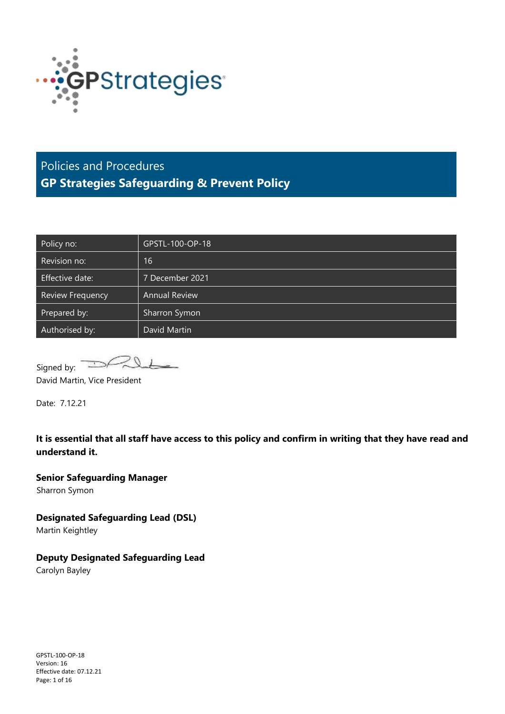

## Policies and Procedures **GP Strategies Safeguarding & Prevent Policy**

| Policy no:              | GPSTL-100-OP-18      |
|-------------------------|----------------------|
| Revision no:            | 16                   |
| Effective date:         | 7 December 2021      |
| <b>Review Frequency</b> | <b>Annual Review</b> |
| Prepared by:            | Sharron Symon        |
| Authorised by:          | David Martin         |

Signed by:

David Martin, Vice President

Date: 7.12.21

**It is essential that all staff have access to this policy and confirm in writing that they have read and understand it.**

**Senior Safeguarding Manager** Sharron Symon

**Designated Safeguarding Lead (DSL)** 

Martin Keightley

**Deputy Designated Safeguarding Lead**

Carolyn Bayley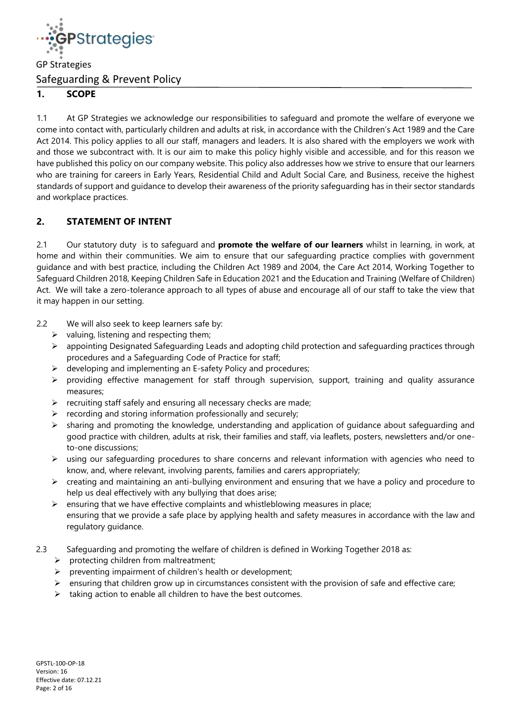

## **1. SCOPE**

1.1 At GP Strategies we acknowledge our responsibilities to safeguard and promote the welfare of everyone we come into contact with, particularly children and adults at risk, in accordance with the Children's Act 1989 and the Care Act 2014. This policy applies to all our staff, managers and leaders. It is also shared with the employers we work with and those we subcontract with. It is our aim to make this policy highly visible and accessible, and for this reason we have published this policy on our company website. This policy also addresses how we strive to ensure that our learners who are training for careers in Early Years, Residential Child and Adult Social Care, and Business, receive the highest standards of support and guidance to develop their awareness of the priority safeguarding has in their sector standards and workplace practices.

## **2. STATEMENT OF INTENT**

2.1 Our statutory duty is to safeguard and **promote the welfare of our learners** whilst in learning, in work, at home and within their communities. We aim to ensure that our safeguarding practice complies with government guidance and with best practice, including the Children Act 1989 and 2004, the Care Act 2014, Working Together to Safeguard Children 2018, Keeping Children Safe in Education 2021 and the Education and Training (Welfare of Children) Act. We will take a zero-tolerance approach to all types of abuse and encourage all of our staff to take the view that it may happen in our setting.

- 2.2 We will also seek to keep learners safe by:
	- $\triangleright$  valuing, listening and respecting them;
	- ➢ appointing Designated Safeguarding Leads and adopting child protection and safeguarding practices through procedures and a Safeguarding Code of Practice for staff;
	- $\triangleright$  developing and implementing an E-safety Policy and procedures;
	- ➢ providing effective management for staff through supervision, support, training and quality assurance measures;
	- $\triangleright$  recruiting staff safely and ensuring all necessary checks are made;
	- recording and storing information professionally and securely;
	- ➢ sharing and promoting the knowledge, understanding and application of guidance about safeguarding and good practice with children, adults at risk, their families and staff, via leaflets, posters, newsletters and/or oneto-one discussions;
	- ➢ using our safeguarding procedures to share concerns and relevant information with agencies who need to know, and, where relevant, involving parents, families and carers appropriately;
	- ➢ creating and maintaining an anti-bullying environment and ensuring that we have a policy and procedure to help us deal effectively with any bullying that does arise;
	- $\triangleright$  ensuring that we have effective complaints and whistleblowing measures in place; ensuring that we provide a safe place by applying health and safety measures in accordance with the law and regulatory guidance.
- 2.3 Safeguarding and promoting the welfare of children is defined in Working Together 2018 as:
	- $\triangleright$  protecting children from maltreatment;
	- ➢ preventing impairment of children's health or development;
	- $\triangleright$  ensuring that children grow up in circumstances consistent with the provision of safe and effective care;
	- $\triangleright$  taking action to enable all children to have the best outcomes.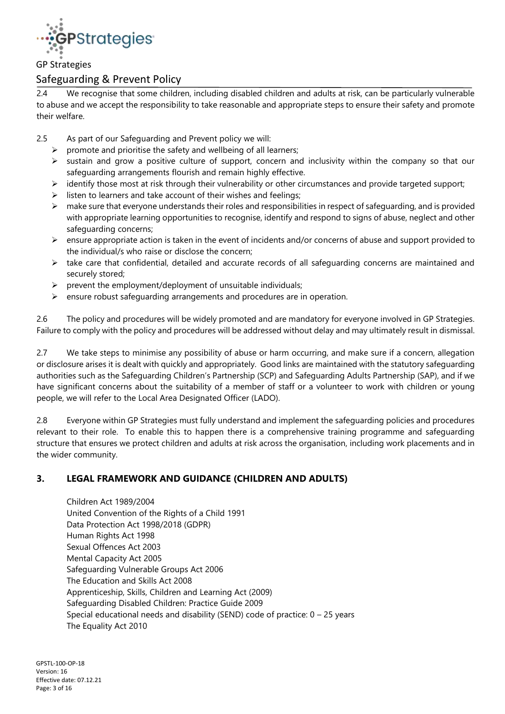

## Safeguarding & Prevent Policy

2.4 We recognise that some children, including disabled children and adults at risk, can be particularly vulnerable to abuse and we accept the responsibility to take reasonable and appropriate steps to ensure their safety and promote their welfare.

- 2.5 As part of our Safeguarding and Prevent policy we will:
	- $\triangleright$  promote and prioritise the safety and wellbeing of all learners;
	- ➢ sustain and grow a positive culture of support, concern and inclusivity within the company so that our safeguarding arrangements flourish and remain highly effective.
	- $\triangleright$  identify those most at risk through their vulnerability or other circumstances and provide targeted support;
	- $\triangleright$  listen to learners and take account of their wishes and feelings;
	- ➢ make sure that everyone understands their roles and responsibilities in respect of safeguarding, and is provided with appropriate learning opportunities to recognise, identify and respond to signs of abuse, neglect and other safeguarding concerns;
	- $\geq$  ensure appropriate action is taken in the event of incidents and/or concerns of abuse and support provided to the individual/s who raise or disclose the concern;
	- ➢ take care that confidential, detailed and accurate records of all safeguarding concerns are maintained and securely stored;
	- $\triangleright$  prevent the employment/deployment of unsuitable individuals;
	- $\triangleright$  ensure robust safeguarding arrangements and procedures are in operation.

2.6 The policy and procedures will be widely promoted and are mandatory for everyone involved in GP Strategies. Failure to comply with the policy and procedures will be addressed without delay and may ultimately result in dismissal.

2.7 We take steps to minimise any possibility of abuse or harm occurring, and make sure if a concern, allegation or disclosure arises it is dealt with quickly and appropriately. Good links are maintained with the statutory safeguarding authorities such as the Safeguarding Children's Partnership (SCP) and Safeguarding Adults Partnership (SAP), and if we have significant concerns about the suitability of a member of staff or a volunteer to work with children or young people, we will refer to the Local Area Designated Officer (LADO).

2.8 Everyone within GP Strategies must fully understand and implement the safeguarding policies and procedures relevant to their role. To enable this to happen there is a comprehensive training programme and safeguarding structure that ensures we protect children and adults at risk across the organisation, including work placements and in the wider community.

## **3. LEGAL FRAMEWORK AND GUIDANCE (CHILDREN AND ADULTS)**

Children Act 1989/2004 United Convention of the Rights of a Child 1991 Data Protection Act 1998/2018 (GDPR) Human Rights Act 1998 Sexual Offences Act 2003 Mental Capacity Act 2005 Safeguarding Vulnerable Groups Act 2006 The Education and Skills Act 2008 Apprenticeship, Skills, Children and Learning Act (2009) Safeguarding Disabled Children: Practice Guide 2009 Special educational needs and disability (SEND) code of practice:  $0 - 25$  years The Equality Act 2010

GPSTL-100-OP-18 Version: 16 Effective date: 07.12.21 Page: 3 of 16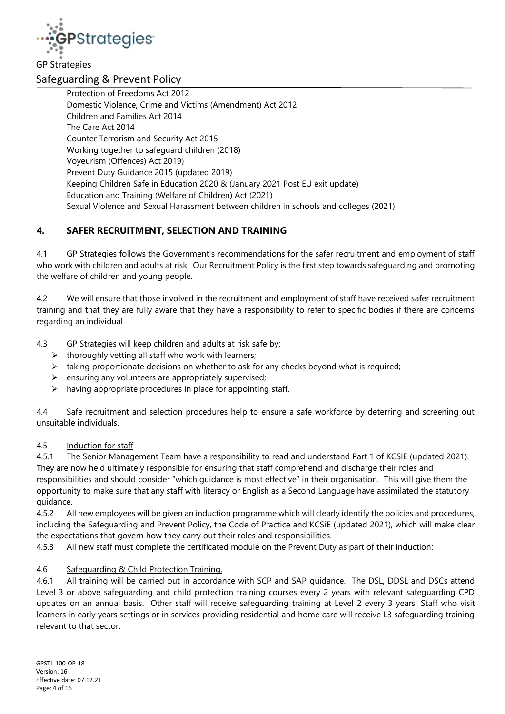

## Safeguarding & Prevent Policy

Protection of Freedoms Act 2012 Domestic Violence, Crime and Victims (Amendment) Act 2012 Children and Families Act 2014 The Care Act 2014 Counter Terrorism and Security Act 2015 Working together to safeguard children (2018) Voyeurism (Offences) Act 2019) Prevent Duty Guidance 2015 (updated 2019) Keeping Children Safe in Education 2020 & (January 2021 Post EU exit update) Education and Training (Welfare of Children) Act (2021) Sexual Violence and Sexual Harassment between children in schools and colleges (2021)

## **4. SAFER RECRUITMENT, SELECTION AND TRAINING**

4.1 GP Strategies follows the Government's recommendations for the safer recruitment and employment of staff who work with children and adults at risk. Our Recruitment Policy is the first step towards safeguarding and promoting the welfare of children and young people.

4.2 We will ensure that those involved in the recruitment and employment of staff have received safer recruitment training and that they are fully aware that they have a responsibility to refer to specific bodies if there are concerns regarding an individual

4.3 GP Strategies will keep children and adults at risk safe by:

- $\triangleright$  thoroughly vetting all staff who work with learners;
- $\triangleright$  taking proportionate decisions on whether to ask for any checks beyond what is required;
- $\triangleright$  ensuring any volunteers are appropriately supervised;
- $\triangleright$  having appropriate procedures in place for appointing staff.

4.4 Safe recruitment and selection procedures help to ensure a safe workforce by deterring and screening out unsuitable individuals.

#### 4.5 Induction for staff

4.5.1 The Senior Management Team have a responsibility to read and understand Part 1 of KCSIE (updated 2021). They are now held ultimately responsible for ensuring that staff comprehend and discharge their roles and responsibilities and should consider "which guidance is most effective" in their organisation. This will give them the opportunity to make sure that any staff with literacy or English as a Second Language have assimilated the statutory guidance.

4.5.2 All new employees will be given an induction programme which will clearly identify the policies and procedures, including the Safeguarding and Prevent Policy, the Code of Practice and KCSiE (updated 2021), which will make clear the expectations that govern how they carry out their roles and responsibilities.

4.5.3 All new staff must complete the certificated module on the Prevent Duty as part of their induction;

#### 4.6 Safeguarding & Child Protection Training.

4.6.1 All training will be carried out in accordance with SCP and SAP guidance. The DSL, DDSL and DSCs attend Level 3 or above safeguarding and child protection training courses every 2 years with relevant safeguarding CPD updates on an annual basis. Other staff will receive safeguarding training at Level 2 every 3 years. Staff who visit learners in early years settings or in services providing residential and home care will receive L3 safeguarding training relevant to that sector.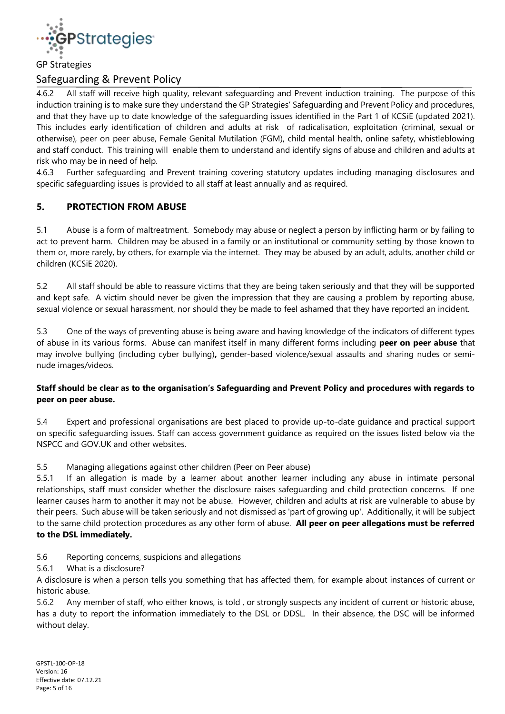

## Safeguarding & Prevent Policy

4.6.2 All staff will receive high quality, relevant safeguarding and Prevent induction training. The purpose of this induction training is to make sure they understand the GP Strategies' Safeguarding and Prevent Policy and procedures, and that they have up to date knowledge of the safeguarding issues identified in the Part 1 of KCSiE (updated 2021). This includes early identification of children and adults at risk of radicalisation, exploitation (criminal, sexual or otherwise), peer on peer abuse, Female Genital Mutilation (FGM), child mental health, online safety, whistleblowing and staff conduct. This training will enable them to understand and identify signs of abuse and children and adults at risk who may be in need of help.

4.6.3 Further safeguarding and Prevent training covering statutory updates including managing disclosures and specific safeguarding issues is provided to all staff at least annually and as required.

## **5. PROTECTION FROM ABUSE**

5.1 Abuse is a form of maltreatment. Somebody may abuse or neglect a person by inflicting harm or by failing to act to prevent harm. Children may be abused in a family or an institutional or community setting by those known to them or, more rarely, by others, for example via the internet. They may be abused by an adult, adults, another child or children (KCSiE 2020).

5.2 All staff should be able to reassure victims that they are being taken seriously and that they will be supported and kept safe. A victim should never be given the impression that they are causing a problem by reporting abuse, sexual violence or sexual harassment, nor should they be made to feel ashamed that they have reported an incident.

5.3 One of the ways of preventing abuse is being aware and having knowledge of the indicators of different types of abuse in its various forms. Abuse can manifest itself in many different forms including **peer on peer abuse** that may involve bullying (including cyber bullying)**,** gender-based violence/sexual assaults and sharing nudes or seminude images/videos.

#### **Staff should be clear as to the organisation's Safeguarding and Prevent Policy and procedures with regards to peer on peer abuse.**

5.4 Expert and professional organisations are best placed to provide up-to-date guidance and practical support on specific safeguarding issues. Staff can access government guidance as required on the issues listed below via the NSPCC and GOV.UK and other websites.

#### 5.5 Managing allegations against other children (Peer on Peer abuse)

5.5.1 If an allegation is made by a learner about another learner including any abuse in intimate personal relationships, staff must consider whether the disclosure raises safeguarding and child protection concerns. If one learner causes harm to another it may not be abuse. However, children and adults at risk are vulnerable to abuse by their peers. Such abuse will be taken seriously and not dismissed as 'part of growing up'. Additionally, it will be subject to the same child protection procedures as any other form of abuse. **All peer on peer allegations must be referred to the DSL immediately.**

#### 5.6 Reporting concerns, suspicions and allegations

## 5.6.1 What is a disclosure?

A disclosure is when a person tells you something that has affected them, for example about instances of current or historic abuse.

5.6.2 Any member of staff, who either knows, is told , or strongly suspects any incident of current or historic abuse, has a duty to report the information immediately to the DSL or DDSL. In their absence, the DSC will be informed without delay.

GPSTL-100-OP-18 Version: 16 Effective date: 07.12.21 Page: 5 of 16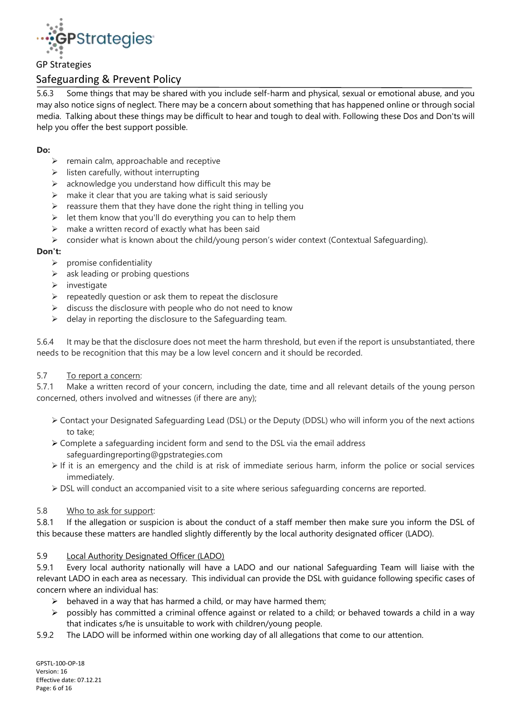

## Safeguarding & Prevent Policy

5.6.3 Some things that may be shared with you include self-harm and physical, sexual or emotional abuse, and you may also notice signs of neglect. There may be a concern about something that has happened online or through social media. Talking about these things may be difficult to hear and tough to deal with. Following these Dos and Don'ts will help you offer the best support possible.

#### **Do:**

- $\triangleright$  remain calm, approachable and receptive
- $\triangleright$  listen carefully, without interrupting
- $\triangleright$  acknowledge you understand how difficult this may be
- $\triangleright$  make it clear that you are taking what is said seriously
- $\triangleright$  reassure them that they have done the right thing in telling you
- $\triangleright$  let them know that you'll do everything you can to help them
- $\triangleright$  make a written record of exactly what has been said
- $\triangleright$  consider what is known about the child/young person's wider context (Contextual Safeguarding).

#### **Don't:**

- $\triangleright$  promise confidentiality
- $\triangleright$  ask leading or probing questions
- $\triangleright$  investigate
- $\triangleright$  repeatedly question or ask them to repeat the disclosure
- $\triangleright$  discuss the disclosure with people who do not need to know
- $\triangleright$  delay in reporting the disclosure to the Safeguarding team.

5.6.4 It may be that the disclosure does not meet the harm threshold, but even if the report is unsubstantiated, there needs to be recognition that this may be a low level concern and it should be recorded.

#### 5.7 To report a concern:

5.7.1 Make a written record of your concern, including the date, time and all relevant details of the young person concerned, others involved and witnesses (if there are any);

- ➢ Contact your Designated Safeguarding Lead (DSL) or the Deputy (DDSL) who will inform you of the next actions to take;
- $\geq$  Complete a safeguarding incident form and send to the DSL via the email address safeguardingreporting@gpstrategies.com
- ➢ If it is an emergency and the child is at risk of immediate serious harm, inform the police or social services immediately.
- ➢ DSL will conduct an accompanied visit to a site where serious safeguarding concerns are reported.

#### 5.8 Who to ask for support:

5.8.1 If the allegation or suspicion is about the conduct of a staff member then make sure you inform the DSL of this because these matters are handled slightly differently by the local authority designated officer (LADO).

#### 5.9 Local Authority Designated Officer (LADO)

5.9.1 Every local authority nationally will have a LADO and our national Safeguarding Team will liaise with the relevant LADO in each area as necessary. This individual can provide the DSL with guidance following specific cases of concern where an individual has:

- $\triangleright$  behaved in a way that has harmed a child, or may have harmed them;
- $\triangleright$  possibly has committed a criminal offence against or related to a child; or behaved towards a child in a way that indicates s/he is unsuitable to work with children/young people.
- 5.9.2 The LADO will be informed within one working day of all allegations that come to our attention.

GPSTL-100-OP-18 Version: 16 Effective date: 07.12.21 Page: 6 of 16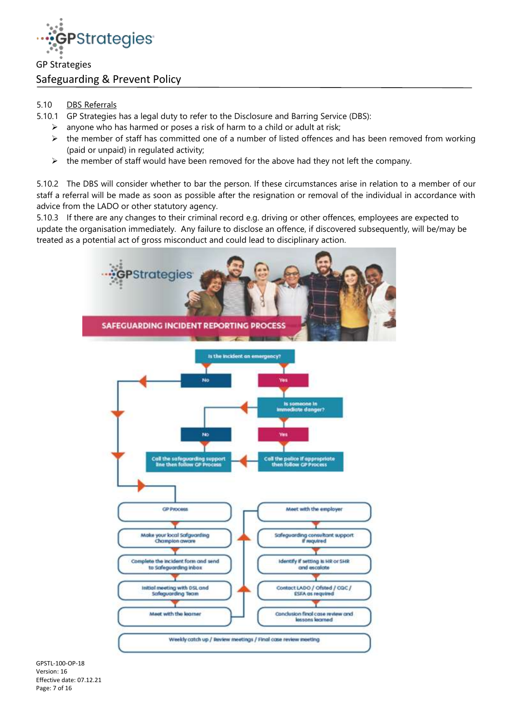

- 5.10 DBS Referrals
- 5.10.1 GP Strategies has a legal duty to refer to the Disclosure and Barring Service (DBS):
	- $\triangleright$  anyone who has harmed or poses a risk of harm to a child or adult at risk;
	- $\triangleright$  the member of staff has committed one of a number of listed offences and has been removed from working (paid or unpaid) in regulated activity;
	- $\triangleright$  the member of staff would have been removed for the above had they not left the company.

5.10.2 The DBS will consider whether to bar the person. If these circumstances arise in relation to a member of our staff a referral will be made as soon as possible after the resignation or removal of the individual in accordance with advice from the LADO or other statutory agency.

5.10.3 If there are any changes to their criminal record e.g. driving or other offences, employees are expected to update the organisation immediately. Any failure to disclose an offence, if discovered subsequently, will be/may be treated as a potential act of gross misconduct and could lead to disciplinary action.



GPSTL-100-OP-18 Version: 16 Effective date: 07.12.21 Page: 7 of 16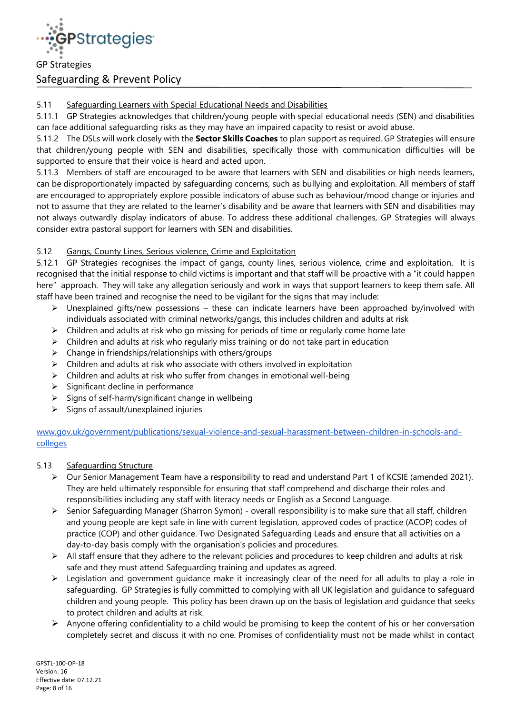

## 5.11 Safeguarding Learners with Special Educational Needs and Disabilities

5.11.1 GP Strategies acknowledges that children/young people with special educational needs (SEN) and disabilities can face additional safeguarding risks as they may have an impaired capacity to resist or avoid abuse.

5.11.2 The DSLs will work closely with the **Sector Skills Coaches** to plan support as required. GP Strategies will ensure that children/young people with SEN and disabilities, specifically those with communication difficulties will be supported to ensure that their voice is heard and acted upon.

5.11.3 Members of staff are encouraged to be aware that learners with SEN and disabilities or high needs learners, can be disproportionately impacted by safeguarding concerns, such as bullying and exploitation. All members of staff are encouraged to appropriately explore possible indicators of abuse such as behaviour/mood change or injuries and not to assume that they are related to the learner's disability and be aware that learners with SEN and disabilities may not always outwardly display indicators of abuse. To address these additional challenges, GP Strategies will always consider extra pastoral support for learners with SEN and disabilities.

## 5.12 Gangs, County Lines, Serious violence, Crime and Exploitation

5.12.1 GP Strategies recognises the impact of gangs, county lines, serious violence, crime and exploitation. It is recognised that the initial response to child victims is important and that staff will be proactive with a "it could happen here" approach. They will take any allegation seriously and work in ways that support learners to keep them safe. All staff have been trained and recognise the need to be vigilant for the signs that may include:

- $\triangleright$  Unexplained gifts/new possessions these can indicate learners have been approached by/involved with individuals associated with criminal networks/gangs, this includes children and adults at risk
- $\triangleright$  Children and adults at risk who go missing for periods of time or regularly come home late
- $\triangleright$  Children and adults at risk who regularly miss training or do not take part in education
- ➢ Change in friendships/relationships with others/groups
- $\triangleright$  Children and adults at risk who associate with others involved in exploitation
- $\triangleright$  Children and adults at risk who suffer from changes in emotional well-being
- ➢ Significant decline in performance
- $\triangleright$  Signs of self-harm/significant change in wellbeing
- $\triangleright$  Signs of assault/unexplained injuries

[www.gov.uk/government/publications/sexual-violence-and-sexual-harassment-between-children-in-schools-and](http://www.gov.uk/government/publications/sexual-violence-and-sexual-harassment-between-children-in-schools-and-colleges)[colleges](http://www.gov.uk/government/publications/sexual-violence-and-sexual-harassment-between-children-in-schools-and-colleges)

## 5.13 Safequarding Structure

- ➢ Our Senior Management Team have a responsibility to read and understand Part 1 of KCSIE (amended 2021). They are held ultimately responsible for ensuring that staff comprehend and discharge their roles and responsibilities including any staff with literacy needs or English as a Second Language.
- ➢ Senior Safeguarding Manager (Sharron Symon) overall responsibility is to make sure that all staff, children and young people are kept safe in line with current legislation, approved codes of practice (ACOP) codes of practice (COP) and other guidance. Two Designated Safeguarding Leads and ensure that all activities on a day-to-day basis comply with the organisation's policies and procedures.
- ➢ All staff ensure that they adhere to the relevant policies and procedures to keep children and adults at risk safe and they must attend Safeguarding training and updates as agreed.
- $\triangleright$  Legislation and government guidance make it increasingly clear of the need for all adults to play a role in safeguarding. GP Strategies is fully committed to complying with all UK legislation and guidance to safeguard children and young people. This policy has been drawn up on the basis of legislation and guidance that seeks to protect children and adults at risk.
- $\triangleright$  Anyone offering confidentiality to a child would be promising to keep the content of his or her conversation completely secret and discuss it with no one. Promises of confidentiality must not be made whilst in contact

GPSTL-100-OP-18 Version: 16 Effective date: 07.12.21 Page: 8 of 16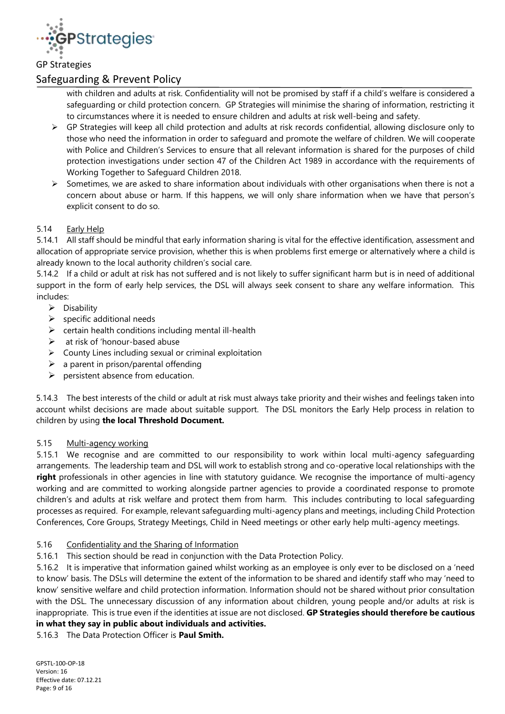

## Safeguarding & Prevent Policy

with children and adults at risk. Confidentiality will not be promised by staff if a child's welfare is considered a safeguarding or child protection concern. GP Strategies will minimise the sharing of information, restricting it to circumstances where it is needed to ensure children and adults at risk well-being and safety.

- $\triangleright$  GP Strategies will keep all child protection and adults at risk records confidential, allowing disclosure only to those who need the information in order to safeguard and promote the welfare of children. We will cooperate with Police and Children's Services to ensure that all relevant information is shared for the purposes of child protection investigations under section 47 of the Children Act 1989 in accordance with the requirements of Working Together to Safeguard Children 2018.
- $\triangleright$  Sometimes, we are asked to share information about individuals with other organisations when there is not a concern about abuse or harm. If this happens, we will only share information when we have that person's explicit consent to do so.

#### 5.14 Early Help

5.14.1 All staff should be mindful that early information sharing is vital for the effective identification, assessment and allocation of appropriate service provision, whether this is when problems first emerge or alternatively where a child is already known to the local authority children's social care.

5.14.2 If a child or adult at risk has not suffered and is not likely to suffer significant harm but is in need of additional support in the form of early help services, the DSL will always seek consent to share any welfare information. This includes:

- ➢ Disability
- $\triangleright$  specific additional needs
- $\triangleright$  certain health conditions including mental ill-health
- $\triangleright$  at risk of 'honour-based abuse
- ➢ County Lines including sexual or criminal exploitation
- $\triangleright$  a parent in prison/parental offending
- ➢ persistent absence from education.

5.14.3 The best interests of the child or adult at risk must always take priority and their wishes and feelings taken into account whilst decisions are made about suitable support. The DSL monitors the Early Help process in relation to children by using **the local Threshold Document.**

#### 5.15 Multi-agency working

5.15.1 We recognise and are committed to our responsibility to work within local multi-agency safeguarding arrangements. The leadership team and DSL will work to establish strong and co-operative local relationships with the **right** professionals in other agencies in line with statutory guidance. We recognise the importance of multi-agency working and are committed to working alongside partner agencies to provide a coordinated response to promote children's and adults at risk welfare and protect them from harm. This includes contributing to local safeguarding processes as required. For example, relevant safeguarding multi-agency plans and meetings, including Child Protection Conferences, Core Groups, Strategy Meetings, Child in Need meetings or other early help multi-agency meetings.

#### 5.16 Confidentiality and the Sharing of Information

5.16.1 This section should be read in conjunction with the Data Protection Policy.

5.16.2 It is imperative that information gained whilst working as an employee is only ever to be disclosed on a 'need to know' basis. The DSLs will determine the extent of the information to be shared and identify staff who may 'need to know' sensitive welfare and child protection information. Information should not be shared without prior consultation with the DSL. The unnecessary discussion of any information about children, young people and/or adults at risk is inappropriate. This is true even if the identities at issue are not disclosed. **GP Strategies should therefore be cautious in what they say in public about individuals and activities.** 

5.16.3 The Data Protection Officer is **Paul Smith.**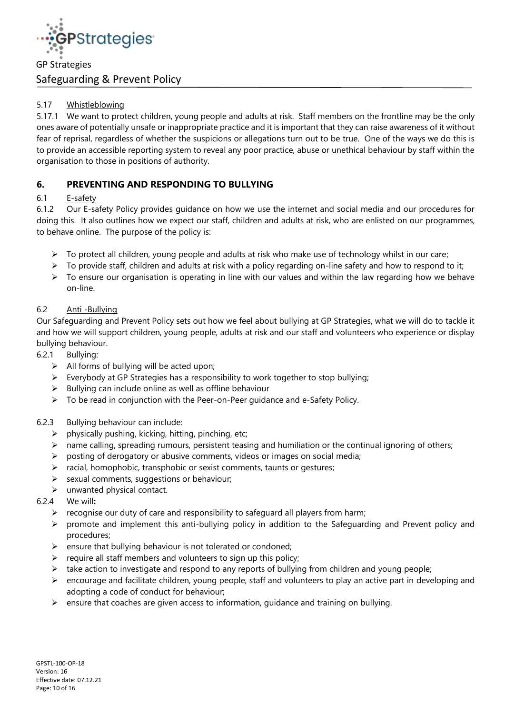

## 5.17 Whistleblowing

5.17.1 We want to protect children, young people and adults at risk. Staff members on the frontline may be the only ones aware of potentially unsafe or inappropriate practice and it is important that they can raise awareness of it without fear of reprisal, regardless of whether the suspicions or allegations turn out to be true. One of the ways we do this is to provide an accessible reporting system to reveal any poor practice, abuse or unethical behaviour by staff within the organisation to those in positions of authority.

## **6. PREVENTING AND RESPONDING TO BULLYING**

## 6.1 E-safety

6.1.2 Our E-safety Policy provides guidance on how we use the internet and social media and our procedures for doing this. It also outlines how we expect our staff, children and adults at risk, who are enlisted on our programmes, to behave online. The purpose of the policy is:

- $\triangleright$  To protect all children, young people and adults at risk who make use of technology whilst in our care;
- ➢ To provide staff, children and adults at risk with a policy regarding on-line safety and how to respond to it;
- ➢ To ensure our organisation is operating in line with our values and within the law regarding how we behave on-line.

## 6.2 Anti -Bullying

Our Safeguarding and Prevent Policy sets out how we feel about bullying at GP Strategies, what we will do to tackle it and how we will support children, young people, adults at risk and our staff and volunteers who experience or display bullying behaviour.

- 6.2.1 Bullying:
	- ➢ All forms of bullying will be acted upon;
	- $\triangleright$  Everybody at GP Strategies has a responsibility to work together to stop bullying;
	- ➢ Bullying can include online as well as offline behaviour
	- $\triangleright$  To be read in conjunction with the Peer-on-Peer guidance and e-Safety Policy.

## 6.2.3 Bullying behaviour can include:

- $\triangleright$  physically pushing, kicking, hitting, pinching, etc;
- $\triangleright$  name calling, spreading rumours, persistent teasing and humiliation or the continual ignoring of others;
- $\triangleright$  posting of derogatory or abusive comments, videos or images on social media;
- ➢ racial, homophobic, transphobic or sexist comments, taunts or gestures;
- $\triangleright$  sexual comments, suggestions or behaviour;
- $\triangleright$  unwanted physical contact.
- 6.2.4 We will**:** 
	- ➢ recognise our duty of care and responsibility to safeguard all players from harm;
	- ➢ promote and implement this anti-bullying policy in addition to the Safeguarding and Prevent policy and procedures;
	- ➢ ensure that bullying behaviour is not tolerated or condoned;
	- $\triangleright$  require all staff members and volunteers to sign up this policy;
	- $\triangleright$  take action to investigate and respond to any reports of bullying from children and young people;
	- $\triangleright$  encourage and facilitate children, young people, staff and volunteers to play an active part in developing and adopting a code of conduct for behaviour;
	- $\triangleright$  ensure that coaches are given access to information, guidance and training on bullying.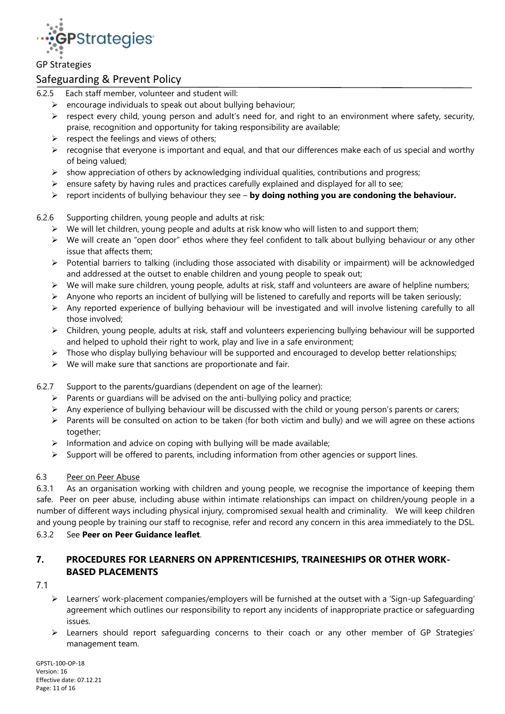

## Safeguarding & Prevent Policy

- 6.2.5 Each staff member, volunteer and student will:
	- $\triangleright$  encourage individuals to speak out about bullying behaviour;
	- ➢ respect every child, young person and adult's need for, and right to an environment where safety, security, praise, recognition and opportunity for taking responsibility are available;
	- $\triangleright$  respect the feelings and views of others;
	- ➢ recognise that everyone is important and equal, and that our differences make each of us special and worthy of being valued;
	- $\triangleright$  show appreciation of others by acknowledging individual qualities, contributions and progress;
	- ➢ ensure safety by having rules and practices carefully explained and displayed for all to see;
	- ➢ report incidents of bullying behaviour they see **by doing nothing you are condoning the behaviour.**

#### 6.2.6 Supporting children, young people and adults at risk:

- $\triangleright$  We will let children, young people and adults at risk know who will listen to and support them;
- ➢ We will create an "open door" ethos where they feel confident to talk about bullying behaviour or any other issue that affects them;
- ➢ Potential barriers to talking (including those associated with disability or impairment) will be acknowledged and addressed at the outset to enable children and young people to speak out;
- $\triangleright$  We will make sure children, young people, adults at risk, staff and volunteers are aware of helpline numbers;
- $\triangleright$  Anyone who reports an incident of bullying will be listened to carefully and reports will be taken seriously;
- ➢ Any reported experience of bullying behaviour will be investigated and will involve listening carefully to all those involved;
- ➢ Children, young people, adults at risk, staff and volunteers experiencing bullying behaviour will be supported and helped to uphold their right to work, play and live in a safe environment;
- $\triangleright$  Those who display bullying behaviour will be supported and encouraged to develop better relationships;
- $\triangleright$  We will make sure that sanctions are proportionate and fair.
- 6.2.7 Support to the parents/guardians (dependent on age of the learner):
	- ➢ Parents or guardians will be advised on the anti-bullying policy and practice;
	- ➢ Any experience of bullying behaviour will be discussed with the child or young person's parents or carers;
	- ➢ Parents will be consulted on action to be taken (for both victim and bully) and we will agree on these actions together;
	- $\triangleright$  Information and advice on coping with bullying will be made available;
	- ➢ Support will be offered to parents, including information from other agencies or support lines.

#### 6.3 Peer on Peer Abuse

6.3.1 As an organisation working with children and young people, we recognise the importance of keeping them safe. Peer on peer abuse, including abuse within intimate relationships can impact on children/young people in a number of different ways including physical injury, compromised sexual health and criminality. We will keep children and young people by training our staff to recognise, refer and record any concern in this area immediately to the DSL.

## 6.3.2 See **Peer on Peer Guidance leaflet**.

## **7. PROCEDURES FOR LEARNERS ON APPRENTICESHIPS, TRAINEESHIPS OR OTHER WORK-BASED PLACEMENTS**

#### 7.1

- ➢ Learners' work-placement companies/employers will be furnished at the outset with a 'Sign-up Safeguarding' agreement which outlines our responsibility to report any incidents of inappropriate practice or safeguarding issues.
- ➢ Learners should report safeguarding concerns to their coach or any other member of GP Strategies' management team.

GPSTL-100-OP-18 Version: 16 Effective date: 07.12.21 Page: 11 of 16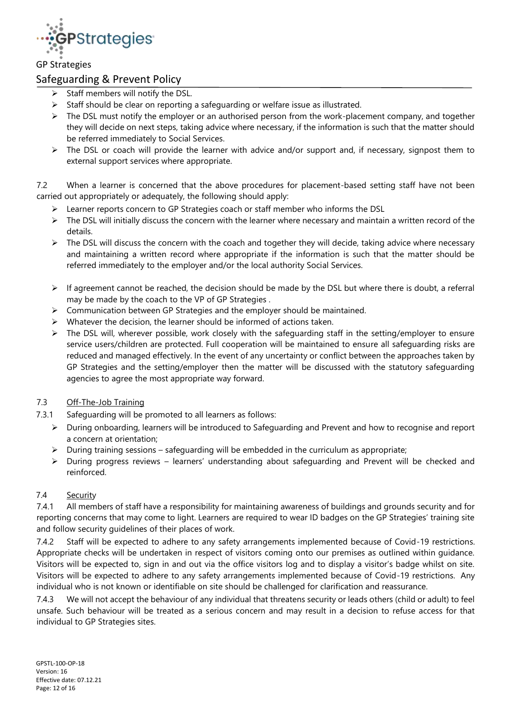

## Safeguarding & Prevent Policy

- ➢ Staff members will notify the DSL.
- $\triangleright$  Staff should be clear on reporting a safeguarding or welfare issue as illustrated.
- ➢ The DSL must notify the employer or an authorised person from the work-placement company, and together they will decide on next steps, taking advice where necessary, if the information is such that the matter should be referred immediately to Social Services.
- $\triangleright$  The DSL or coach will provide the learner with advice and/or support and, if necessary, signpost them to external support services where appropriate.

7.2 When a learner is concerned that the above procedures for placement-based setting staff have not been carried out appropriately or adequately, the following should apply:

- ➢ Learner reports concern to GP Strategies coach or staff member who informs the DSL
- $\triangleright$  The DSL will initially discuss the concern with the learner where necessary and maintain a written record of the details.
- $\triangleright$  The DSL will discuss the concern with the coach and together they will decide, taking advice where necessary and maintaining a written record where appropriate if the information is such that the matter should be referred immediately to the employer and/or the local authority Social Services.
- $\triangleright$  If agreement cannot be reached, the decision should be made by the DSL but where there is doubt, a referral may be made by the coach to the VP of GP Strategies .
- ➢ Communication between GP Strategies and the employer should be maintained.
- $\triangleright$  Whatever the decision, the learner should be informed of actions taken.
- ➢ The DSL will, wherever possible, work closely with the safeguarding staff in the setting/employer to ensure service users/children are protected. Full cooperation will be maintained to ensure all safeguarding risks are reduced and managed effectively. In the event of any uncertainty or conflict between the approaches taken by GP Strategies and the setting/employer then the matter will be discussed with the statutory safeguarding agencies to agree the most appropriate way forward.

## 7.3 Off-The-Job Training

- 7.3.1 Safeguarding will be promoted to all learners as follows:
	- ➢ During onboarding, learners will be introduced to Safeguarding and Prevent and how to recognise and report a concern at orientation;
	- $\triangleright$  During training sessions safeguarding will be embedded in the curriculum as appropriate;
	- $\triangleright$  During progress reviews learners' understanding about safeguarding and Prevent will be checked and reinforced.

#### 7.4 Security

7.4.1 All members of staff have a responsibility for maintaining awareness of buildings and grounds security and for reporting concerns that may come to light. Learners are required to wear ID badges on the GP Strategies' training site and follow security guidelines of their places of work.

7.4.2 Staff will be expected to adhere to any safety arrangements implemented because of Covid-19 restrictions. Appropriate checks will be undertaken in respect of visitors coming onto our premises as outlined within guidance. Visitors will be expected to, sign in and out via the office visitors log and to display a visitor's badge whilst on site. Visitors will be expected to adhere to any safety arrangements implemented because of Covid-19 restrictions. Any individual who is not known or identifiable on site should be challenged for clarification and reassurance.

7.4.3 We will not accept the behaviour of any individual that threatens security or leads others (child or adult) to feel unsafe. Such behaviour will be treated as a serious concern and may result in a decision to refuse access for that individual to GP Strategies sites.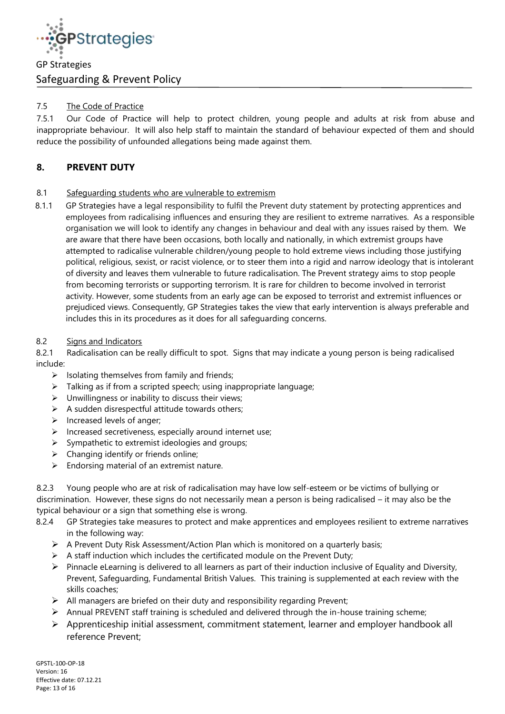

## 7.5 The Code of Practice

7.5.1 Our Code of Practice will help to protect children, young people and adults at risk from abuse and inappropriate behaviour. It will also help staff to maintain the standard of behaviour expected of them and should reduce the possibility of unfounded allegations being made against them.

## **8. PREVENT DUTY**

## 8.1 Safeguarding students who are vulnerable to extremism

8.1.1 GP Strategies have a legal responsibility to fulfil the Prevent duty statement by protecting apprentices and employees from radicalising influences and ensuring they are resilient to extreme narratives. As a responsible organisation we will look to identify any changes in behaviour and deal with any issues raised by them. We are aware that there have been occasions, both locally and nationally, in which extremist groups have attempted to radicalise vulnerable children/young people to hold extreme views including those justifying political, religious, sexist, or racist violence, or to steer them into a rigid and narrow ideology that is intolerant of diversity and leaves them vulnerable to future radicalisation. The Prevent strategy aims to stop people from becoming terrorists or supporting terrorism. It is rare for children to become involved in terrorist activity. However, some students from an early age can be exposed to terrorist and extremist influences or prejudiced views. Consequently, GP Strategies takes the view that early intervention is always preferable and includes this in its procedures as it does for all safeguarding concerns.

#### 8.2 Signs and Indicators

8.2.1 Radicalisation can be really difficult to spot. Signs that may indicate a young person is being radicalised include:

- $\triangleright$  Isolating themselves from family and friends;
- $\triangleright$  Talking as if from a scripted speech; using inappropriate language;
- $\triangleright$  Unwillingness or inability to discuss their views;
- $\triangleright$  A sudden disrespectful attitude towards others;
- ➢ Increased levels of anger;
- ➢ Increased secretiveness, especially around internet use;
- $\triangleright$  Sympathetic to extremist ideologies and groups;
- $\triangleright$  Changing identify or friends online;
- $\triangleright$  Endorsing material of an extremist nature.

8.2.3 Young people who are at risk of radicalisation may have low self-esteem or be victims of bullying or discrimination. However, these signs do not necessarily mean a person is being radicalised – it may also be the typical behaviour or a sign that something else is wrong.

- 8.2.4 GP Strategies take measures to protect and make apprentices and employees resilient to extreme narratives in the following way:
	- ➢ A Prevent Duty Risk Assessment/Action Plan which is monitored on a quarterly basis;
	- $\triangleright$  A staff induction which includes the certificated module on the Prevent Duty;
	- $\triangleright$  Pinnacle eLearning is delivered to all learners as part of their induction inclusive of Equality and Diversity, Prevent, Safeguarding, Fundamental British Values. This training is supplemented at each review with the skills coaches;
	- $\triangleright$  All managers are briefed on their duty and responsibility regarding Prevent;
	- ➢ Annual PREVENT staff training is scheduled and delivered through the in-house training scheme;
	- ➢ Apprenticeship initial assessment, commitment statement, learner and employer handbook all reference Prevent;

GPSTL-100-OP-18 Version: 16 Effective date: 07.12.21 Page: 13 of 16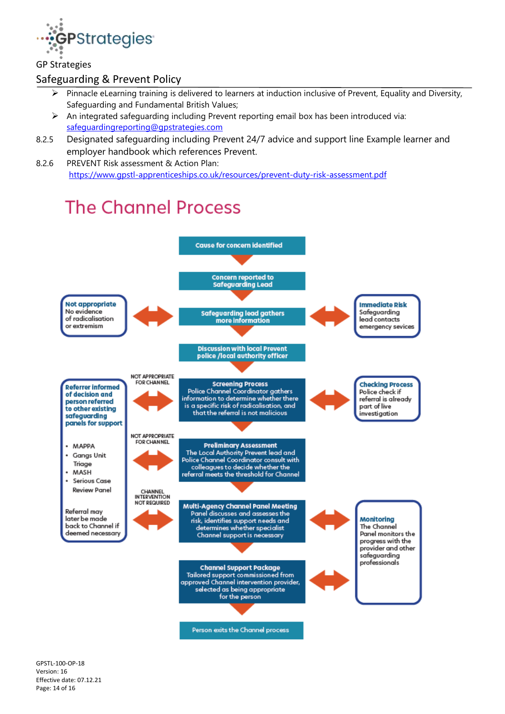

## Safeguarding & Prevent Policy

- ➢ Pinnacle eLearning training is delivered to learners at induction inclusive of Prevent, Equality and Diversity, Safeguarding and Fundamental British Values;
- ➢ An integrated safeguarding including Prevent reporting email box has been introduced via: [safeguardingreporting@gpstrategies.com](mailto:safeguardingreporting@gpstrategies.com)
- 8.2.5 Designated safeguarding including Prevent 24/7 advice and support line Example learner and employer handbook which references Prevent.
- 8.2.6 PREVENT Risk assessment & Action Plan: [https://www.gpstl-apprenticeships.co.uk/resources/prevent-duty-risk-assessment.pdf](https://nam10.safelinks.protection.outlook.com/?url=https%3A%2F%2Fwww.gpstl-apprenticeships.co.uk%2Fresources%2Fprevent-duty-risk-assessment.pdf&data=04%7C01%7Ccbayley%40gpstrategies.com%7Cf06724b9aa4c4275a23308d95bda594f%7Ce1220d9a26474550a53a79304c5bb4f0%7C0%7C0%7C637641815631756848%7CUnknown%7CTWFpbGZsb3d8eyJWIjoiMC4wLjAwMDAiLCJQIjoiV2luMzIiLCJBTiI6Ik1haWwiLCJXVCI6Mn0%3D%7C1000&sdata=XdPz2Fzfb6P0iT3UQ1tymOkTp7mdGKr50MoCZObufaU%3D&reserved=0)

# **The Channel Process**



GPSTL-100-OP-18 Version: 16 Effective date: 07.12.21 Page: 14 of 16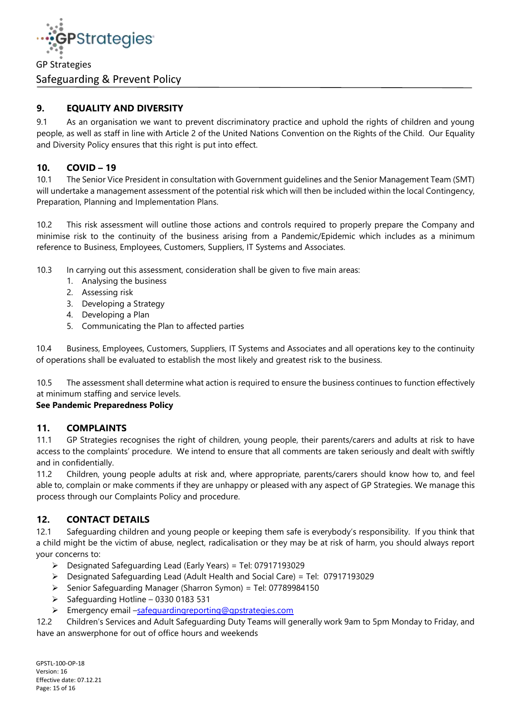

## **9. EQUALITY AND DIVERSITY**

9.1 As an organisation we want to prevent discriminatory practice and uphold the rights of children and young people, as well as staff in line with Article 2 of the United Nations Convention on the Rights of the Child. Our Equality and Diversity Policy ensures that this right is put into effect.

## **10. COVID – 19**

10.1 The Senior Vice President in consultation with Government guidelines and the Senior Management Team (SMT) will undertake a management assessment of the potential risk which will then be included within the local Contingency, Preparation, Planning and Implementation Plans.

10.2 This risk assessment will outline those actions and controls required to properly prepare the Company and minimise risk to the continuity of the business arising from a Pandemic/Epidemic which includes as a minimum reference to Business, Employees, Customers, Suppliers, IT Systems and Associates.

- 10.3 In carrying out this assessment, consideration shall be given to five main areas:
	- 1. Analysing the business
	- 2. Assessing risk
	- 3. Developing a Strategy
	- 4. Developing a Plan
	- 5. Communicating the Plan to affected parties

10.4 Business, Employees, Customers, Suppliers, IT Systems and Associates and all operations key to the continuity of operations shall be evaluated to establish the most likely and greatest risk to the business.

10.5 The assessment shall determine what action is required to ensure the business continues to function effectively at minimum staffing and service levels.

## **See Pandemic Preparedness Policy**

## **11. COMPLAINTS**

11.1 GP Strategies recognises the right of children, young people, their parents/carers and adults at risk to have access to the complaints' procedure. We intend to ensure that all comments are taken seriously and dealt with swiftly and in confidentially.

11.2 Children, young people adults at risk and, where appropriate, parents/carers should know how to, and feel able to, complain or make comments if they are unhappy or pleased with any aspect of GP Strategies. We manage this process through our Complaints Policy and procedure.

## **12. CONTACT DETAILS**

12.1 Safeguarding children and young people or keeping them safe is everybody's responsibility. If you think that a child might be the victim of abuse, neglect, radicalisation or they may be at risk of harm, you should always report your concerns to:

- ➢ Designated Safeguarding Lead (Early Years) = Tel: 07917193029
- ➢ Designated Safeguarding Lead (Adult Health and Social Care) = Tel: 07917193029
- ➢ Senior Safeguarding Manager (Sharron Symon) = Tel: 07789984150
- ➢ Safeguarding Hotline 0330 0183 531
- ➢ Emergency email –[safeguardingreporting@gpstrategies.com](mailto:safeguardingreporting@gpstrategies.com)

12.2 Children's Services and Adult Safeguarding Duty Teams will generally work 9am to 5pm Monday to Friday, and have an answerphone for out of office hours and weekends